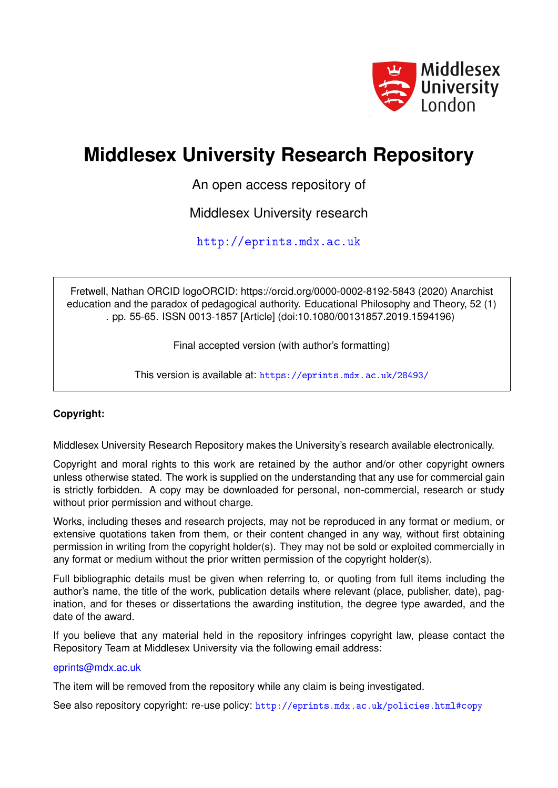

# **Middlesex University Research Repository**

An open access repository of

Middlesex University research

<http://eprints.mdx.ac.uk>

Fretwell, Nathan ORCID logoORCID: https://orcid.org/0000-0002-8192-5843 (2020) Anarchist education and the paradox of pedagogical authority. Educational Philosophy and Theory, 52 (1) . pp. 55-65. ISSN 0013-1857 [Article] (doi:10.1080/00131857.2019.1594196)

Final accepted version (with author's formatting)

This version is available at: <https://eprints.mdx.ac.uk/28493/>

# **Copyright:**

Middlesex University Research Repository makes the University's research available electronically.

Copyright and moral rights to this work are retained by the author and/or other copyright owners unless otherwise stated. The work is supplied on the understanding that any use for commercial gain is strictly forbidden. A copy may be downloaded for personal, non-commercial, research or study without prior permission and without charge.

Works, including theses and research projects, may not be reproduced in any format or medium, or extensive quotations taken from them, or their content changed in any way, without first obtaining permission in writing from the copyright holder(s). They may not be sold or exploited commercially in any format or medium without the prior written permission of the copyright holder(s).

Full bibliographic details must be given when referring to, or quoting from full items including the author's name, the title of the work, publication details where relevant (place, publisher, date), pagination, and for theses or dissertations the awarding institution, the degree type awarded, and the date of the award.

If you believe that any material held in the repository infringes copyright law, please contact the Repository Team at Middlesex University via the following email address:

# [eprints@mdx.ac.uk](mailto:eprints@mdx.ac.uk)

The item will be removed from the repository while any claim is being investigated.

See also repository copyright: re-use policy: <http://eprints.mdx.ac.uk/policies.html#copy>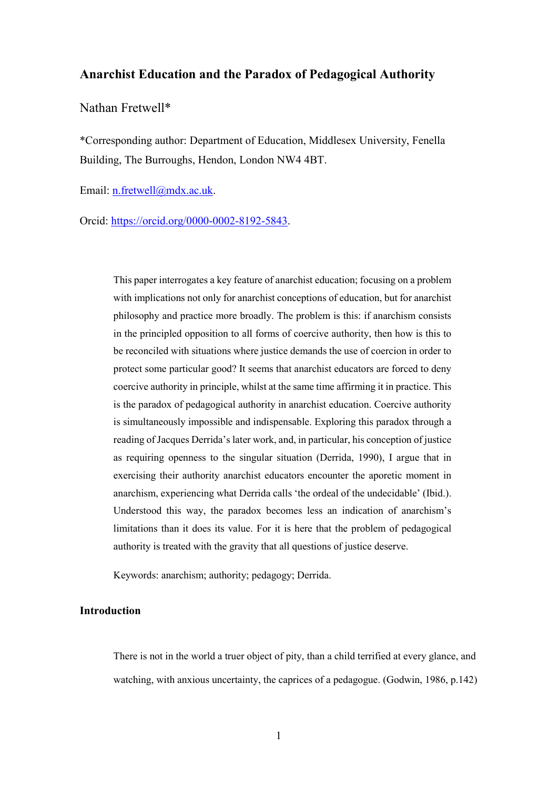# **Anarchist Education and the Paradox of Pedagogical Authority**

Nathan Fretwell\*

\*Corresponding author: Department of Education, Middlesex University, Fenella Building, The Burroughs, Hendon, London NW4 4BT.

Email: [n.fretwell@mdx.ac.uk.](mailto:n.fretwell@mdx.ac.uk)

Orcid: [https://orcid.org/0000-0002-8192-5843.](https://orcid.org/0000-0002-8192-5843)

This paper interrogates a key feature of anarchist education; focusing on a problem with implications not only for anarchist conceptions of education, but for anarchist philosophy and practice more broadly. The problem is this: if anarchism consists in the principled opposition to all forms of coercive authority, then how is this to be reconciled with situations where justice demands the use of coercion in order to protect some particular good? It seems that anarchist educators are forced to deny coercive authority in principle, whilst at the same time affirming it in practice. This is the paradox of pedagogical authority in anarchist education. Coercive authority is simultaneously impossible and indispensable. Exploring this paradox through a reading of Jacques Derrida's later work, and, in particular, his conception of justice as requiring openness to the singular situation (Derrida, 1990), I argue that in exercising their authority anarchist educators encounter the aporetic moment in anarchism, experiencing what Derrida calls 'the ordeal of the undecidable' (Ibid.). Understood this way, the paradox becomes less an indication of anarchism's limitations than it does its value. For it is here that the problem of pedagogical authority is treated with the gravity that all questions of justice deserve.

Keywords: anarchism; authority; pedagogy; Derrida.

## **Introduction**

There is not in the world a truer object of pity, than a child terrified at every glance, and watching, with anxious uncertainty, the caprices of a pedagogue. (Godwin, 1986, p.142)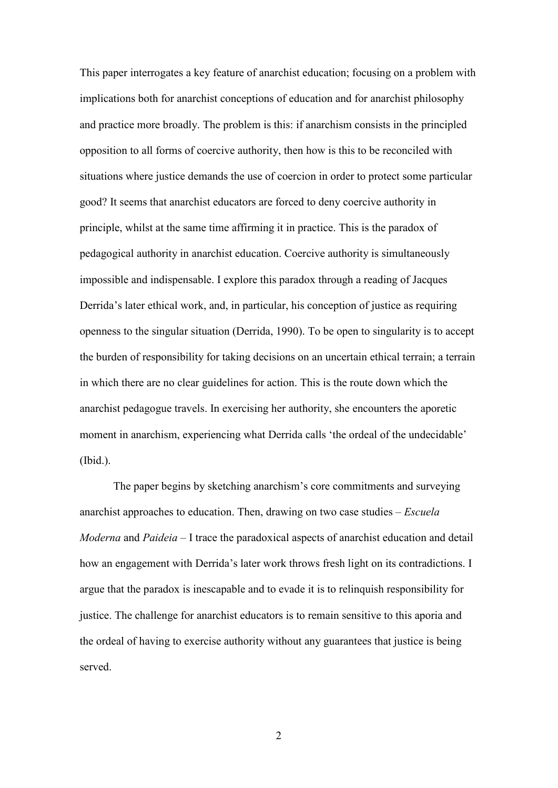This paper interrogates a key feature of anarchist education; focusing on a problem with implications both for anarchist conceptions of education and for anarchist philosophy and practice more broadly. The problem is this: if anarchism consists in the principled opposition to all forms of coercive authority, then how is this to be reconciled with situations where justice demands the use of coercion in order to protect some particular good? It seems that anarchist educators are forced to deny coercive authority in principle, whilst at the same time affirming it in practice. This is the paradox of pedagogical authority in anarchist education. Coercive authority is simultaneously impossible and indispensable. I explore this paradox through a reading of Jacques Derrida's later ethical work, and, in particular, his conception of justice as requiring openness to the singular situation (Derrida, 1990). To be open to singularity is to accept the burden of responsibility for taking decisions on an uncertain ethical terrain; a terrain in which there are no clear guidelines for action. This is the route down which the anarchist pedagogue travels. In exercising her authority, she encounters the aporetic moment in anarchism, experiencing what Derrida calls 'the ordeal of the undecidable' (Ibid.).

The paper begins by sketching anarchism's core commitments and surveying anarchist approaches to education. Then, drawing on two case studies – *Escuela Moderna* and *Paideia* – I trace the paradoxical aspects of anarchist education and detail how an engagement with Derrida's later work throws fresh light on its contradictions. I argue that the paradox is inescapable and to evade it is to relinquish responsibility for justice. The challenge for anarchist educators is to remain sensitive to this aporia and the ordeal of having to exercise authority without any guarantees that justice is being served.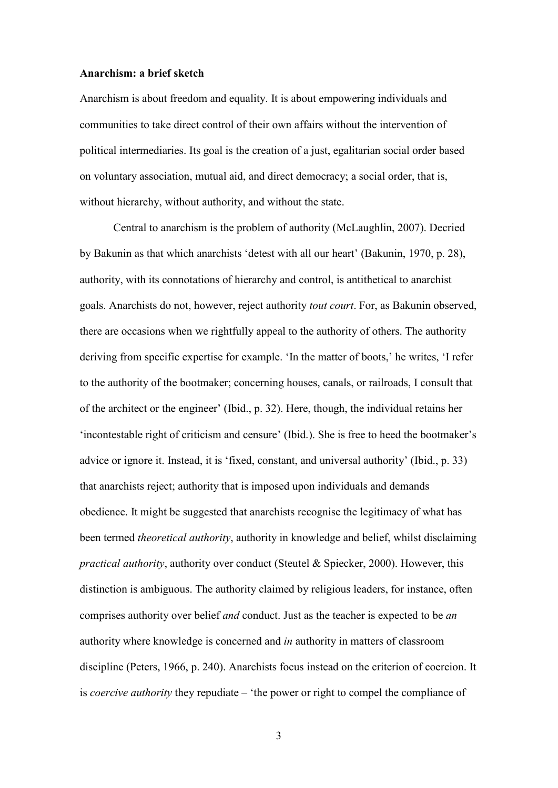## **Anarchism: a brief sketch**

Anarchism is about freedom and equality. It is about empowering individuals and communities to take direct control of their own affairs without the intervention of political intermediaries. Its goal is the creation of a just, egalitarian social order based on voluntary association, mutual aid, and direct democracy; a social order, that is, without hierarchy, without authority, and without the state.

Central to anarchism is the problem of authority (McLaughlin, 2007). Decried by Bakunin as that which anarchists 'detest with all our heart' (Bakunin, 1970, p. 28), authority, with its connotations of hierarchy and control, is antithetical to anarchist goals. Anarchists do not, however, reject authority *tout court*. For, as Bakunin observed, there are occasions when we rightfully appeal to the authority of others. The authority deriving from specific expertise for example. 'In the matter of boots,' he writes, 'I refer to the authority of the bootmaker; concerning houses, canals, or railroads, I consult that of the architect or the engineer' (Ibid., p. 32). Here, though, the individual retains her 'incontestable right of criticism and censure' (Ibid.). She is free to heed the bootmaker's advice or ignore it. Instead, it is 'fixed, constant, and universal authority' (Ibid., p. 33) that anarchists reject; authority that is imposed upon individuals and demands obedience. It might be suggested that anarchists recognise the legitimacy of what has been termed *theoretical authority*, authority in knowledge and belief, whilst disclaiming *practical authority*, authority over conduct (Steutel & Spiecker, 2000). However, this distinction is ambiguous. The authority claimed by religious leaders, for instance, often comprises authority over belief *and* conduct. Just as the teacher is expected to be *an* authority where knowledge is concerned and *in* authority in matters of classroom discipline (Peters, 1966, p. 240). Anarchists focus instead on the criterion of coercion. It is *coercive authority* they repudiate – 'the power or right to compel the compliance of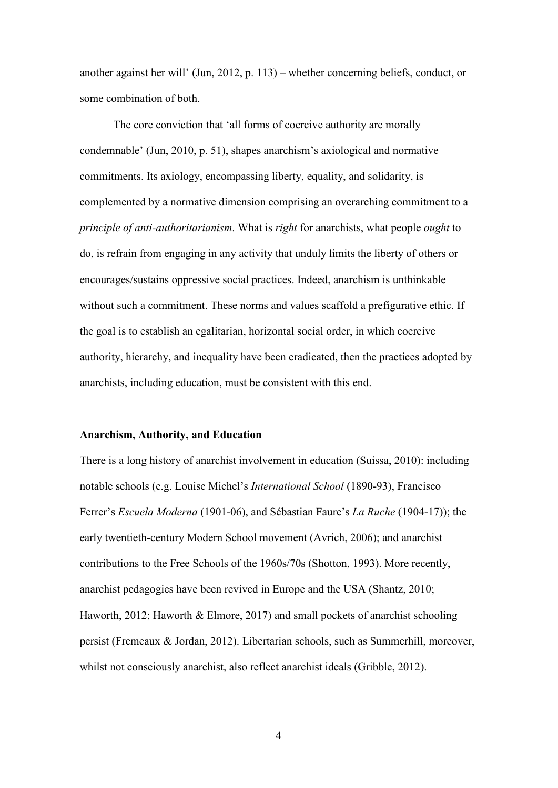another against her will' (Jun, 2012, p. 113) – whether concerning beliefs, conduct, or some combination of both.

The core conviction that 'all forms of coercive authority are morally condemnable' (Jun, 2010, p. 51), shapes anarchism's axiological and normative commitments. Its axiology, encompassing liberty, equality, and solidarity, is complemented by a normative dimension comprising an overarching commitment to a *principle of anti-authoritarianism*. What is *right* for anarchists, what people *ought* to do, is refrain from engaging in any activity that unduly limits the liberty of others or encourages/sustains oppressive social practices. Indeed, anarchism is unthinkable without such a commitment. These norms and values scaffold a prefigurative ethic. If the goal is to establish an egalitarian, horizontal social order, in which coercive authority, hierarchy, and inequality have been eradicated, then the practices adopted by anarchists, including education, must be consistent with this end.

# **Anarchism, Authority, and Education**

There is a long history of anarchist involvement in education (Suissa, 2010): including notable schools (e.g. Louise Michel's *International School* (1890-93), Francisco Ferrer's *Escuela Moderna* (1901-06), and Sébastian Faure's *La Ruche* (1904-17)); the early twentieth-century Modern School movement (Avrich, 2006); and anarchist contributions to the Free Schools of the 1960s/70s (Shotton, 1993). More recently, anarchist pedagogies have been revived in Europe and the USA (Shantz, 2010; Haworth, 2012; Haworth & Elmore, 2017) and small pockets of anarchist schooling persist (Fremeaux & Jordan, 2012). Libertarian schools, such as Summerhill, moreover, whilst not consciously anarchist, also reflect anarchist ideals (Gribble, 2012).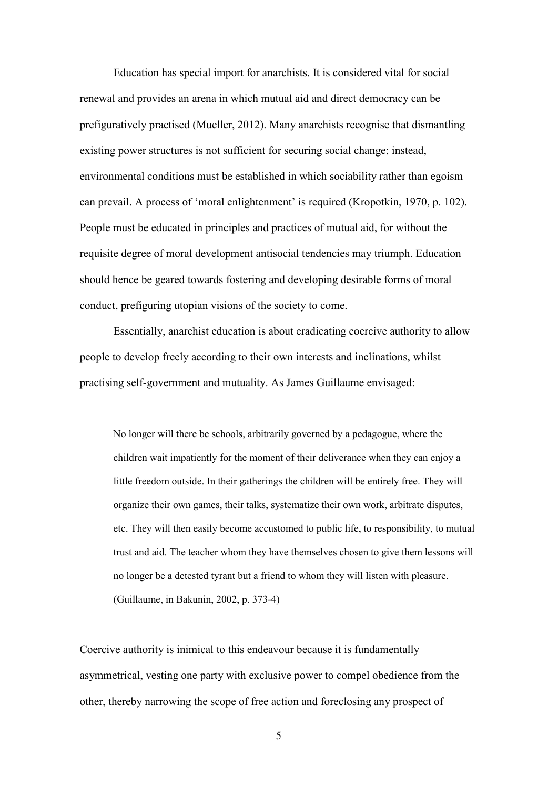Education has special import for anarchists. It is considered vital for social renewal and provides an arena in which mutual aid and direct democracy can be prefiguratively practised (Mueller, 2012). Many anarchists recognise that dismantling existing power structures is not sufficient for securing social change; instead, environmental conditions must be established in which sociability rather than egoism can prevail. A process of 'moral enlightenment' is required (Kropotkin, 1970, p. 102). People must be educated in principles and practices of mutual aid, for without the requisite degree of moral development antisocial tendencies may triumph. Education should hence be geared towards fostering and developing desirable forms of moral conduct, prefiguring utopian visions of the society to come.

Essentially, anarchist education is about eradicating coercive authority to allow people to develop freely according to their own interests and inclinations, whilst practising self-government and mutuality. As James Guillaume envisaged:

No longer will there be schools, arbitrarily governed by a pedagogue, where the children wait impatiently for the moment of their deliverance when they can enjoy a little freedom outside. In their gatherings the children will be entirely free. They will organize their own games, their talks, systematize their own work, arbitrate disputes, etc. They will then easily become accustomed to public life, to responsibility, to mutual trust and aid. The teacher whom they have themselves chosen to give them lessons will no longer be a detested tyrant but a friend to whom they will listen with pleasure. (Guillaume, in Bakunin, 2002, p. 373-4)

Coercive authority is inimical to this endeavour because it is fundamentally asymmetrical, vesting one party with exclusive power to compel obedience from the other, thereby narrowing the scope of free action and foreclosing any prospect of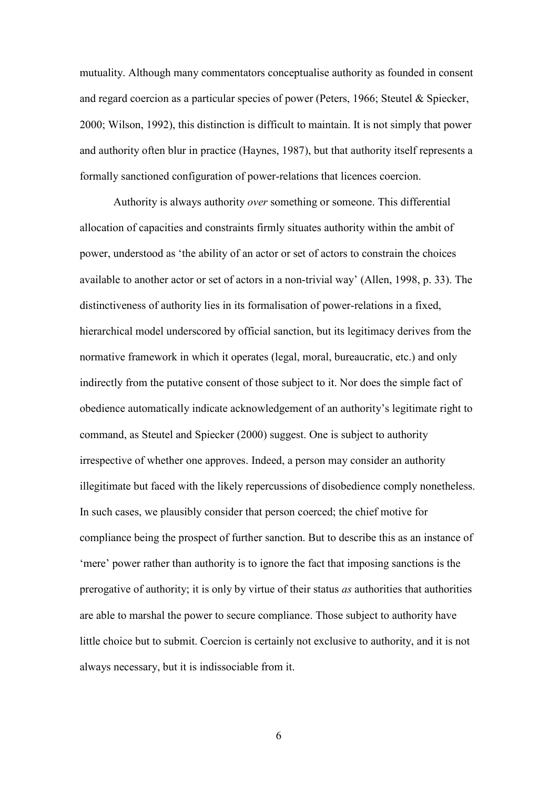mutuality. Although many commentators conceptualise authority as founded in consent and regard coercion as a particular species of power (Peters, 1966; Steutel & Spiecker, 2000; Wilson, 1992), this distinction is difficult to maintain. It is not simply that power and authority often blur in practice (Haynes, 1987), but that authority itself represents a formally sanctioned configuration of power-relations that licences coercion.

Authority is always authority *over* something or someone. This differential allocation of capacities and constraints firmly situates authority within the ambit of power, understood as 'the ability of an actor or set of actors to constrain the choices available to another actor or set of actors in a non-trivial way' (Allen, 1998, p. 33). The distinctiveness of authority lies in its formalisation of power-relations in a fixed, hierarchical model underscored by official sanction, but its legitimacy derives from the normative framework in which it operates (legal, moral, bureaucratic, etc.) and only indirectly from the putative consent of those subject to it. Nor does the simple fact of obedience automatically indicate acknowledgement of an authority's legitimate right to command, as Steutel and Spiecker (2000) suggest. One is subject to authority irrespective of whether one approves. Indeed, a person may consider an authority illegitimate but faced with the likely repercussions of disobedience comply nonetheless. In such cases, we plausibly consider that person coerced; the chief motive for compliance being the prospect of further sanction. But to describe this as an instance of 'mere' power rather than authority is to ignore the fact that imposing sanctions is the prerogative of authority; it is only by virtue of their status *as* authorities that authorities are able to marshal the power to secure compliance. Those subject to authority have little choice but to submit. Coercion is certainly not exclusive to authority, and it is not always necessary, but it is indissociable from it.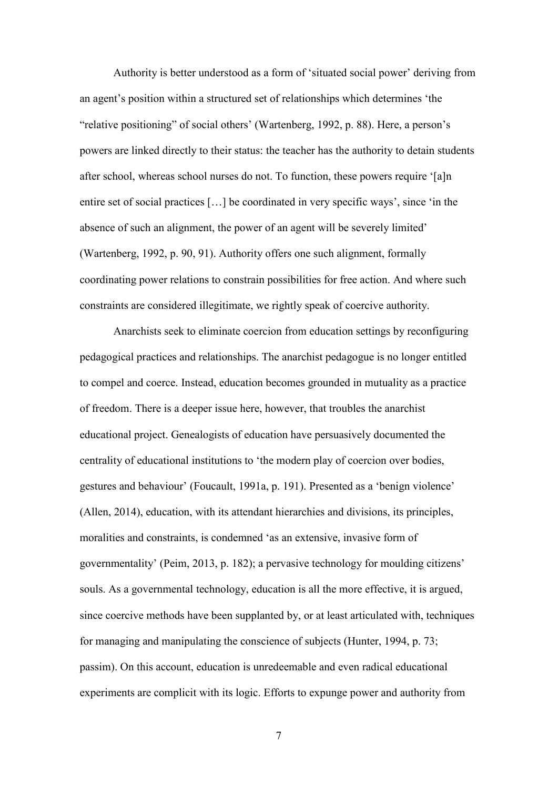Authority is better understood as a form of 'situated social power' deriving from an agent's position within a structured set of relationships which determines 'the "relative positioning" of social others' (Wartenberg, 1992, p. 88). Here, a person's powers are linked directly to their status: the teacher has the authority to detain students after school, whereas school nurses do not. To function, these powers require '[a]n entire set of social practices […] be coordinated in very specific ways', since 'in the absence of such an alignment, the power of an agent will be severely limited' (Wartenberg, 1992, p. 90, 91). Authority offers one such alignment, formally coordinating power relations to constrain possibilities for free action. And where such constraints are considered illegitimate, we rightly speak of coercive authority.

Anarchists seek to eliminate coercion from education settings by reconfiguring pedagogical practices and relationships. The anarchist pedagogue is no longer entitled to compel and coerce. Instead, education becomes grounded in mutuality as a practice of freedom. There is a deeper issue here, however, that troubles the anarchist educational project. Genealogists of education have persuasively documented the centrality of educational institutions to 'the modern play of coercion over bodies, gestures and behaviour' (Foucault, 1991a, p. 191). Presented as a 'benign violence' (Allen, 2014), education, with its attendant hierarchies and divisions, its principles, moralities and constraints, is condemned 'as an extensive, invasive form of governmentality' (Peim, 2013, p. 182); a pervasive technology for moulding citizens' souls. As a governmental technology, education is all the more effective, it is argued, since coercive methods have been supplanted by, or at least articulated with, techniques for managing and manipulating the conscience of subjects (Hunter, 1994, p. 73; passim). On this account, education is unredeemable and even radical educational experiments are complicit with its logic. Efforts to expunge power and authority from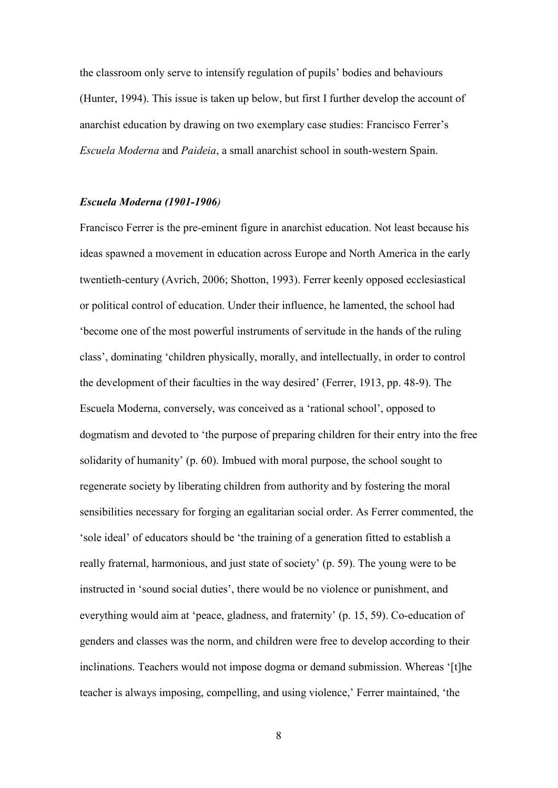the classroom only serve to intensify regulation of pupils' bodies and behaviours (Hunter, 1994). This issue is taken up below, but first I further develop the account of anarchist education by drawing on two exemplary case studies: Francisco Ferrer's *Escuela Moderna* and *Paideia*, a small anarchist school in south-western Spain.

#### *Escuela Moderna (1901-1906)*

Francisco Ferrer is the pre-eminent figure in anarchist education. Not least because his ideas spawned a movement in education across Europe and North America in the early twentieth-century (Avrich, 2006; Shotton, 1993). Ferrer keenly opposed ecclesiastical or political control of education. Under their influence, he lamented, the school had 'become one of the most powerful instruments of servitude in the hands of the ruling class', dominating 'children physically, morally, and intellectually, in order to control the development of their faculties in the way desired' (Ferrer, 1913, pp. 48-9). The Escuela Moderna, conversely, was conceived as a 'rational school', opposed to dogmatism and devoted to 'the purpose of preparing children for their entry into the free solidarity of humanity' (p. 60). Imbued with moral purpose, the school sought to regenerate society by liberating children from authority and by fostering the moral sensibilities necessary for forging an egalitarian social order. As Ferrer commented, the 'sole ideal' of educators should be 'the training of a generation fitted to establish a really fraternal, harmonious, and just state of society' (p. 59). The young were to be instructed in 'sound social duties', there would be no violence or punishment, and everything would aim at 'peace, gladness, and fraternity' (p. 15, 59). Co-education of genders and classes was the norm, and children were free to develop according to their inclinations. Teachers would not impose dogma or demand submission. Whereas '[t]he teacher is always imposing, compelling, and using violence,' Ferrer maintained, 'the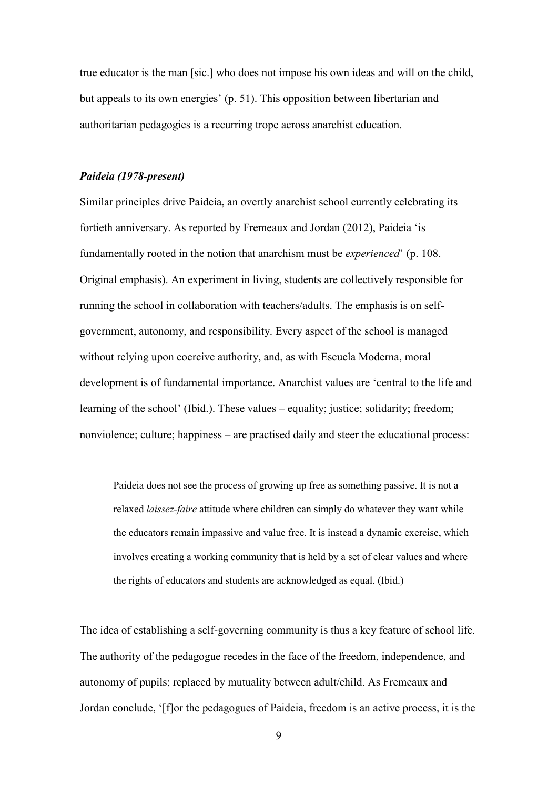true educator is the man [sic.] who does not impose his own ideas and will on the child, but appeals to its own energies' (p. 51). This opposition between libertarian and authoritarian pedagogies is a recurring trope across anarchist education.

## *Paideia (1978-present)*

Similar principles drive Paideia, an overtly anarchist school currently celebrating its fortieth anniversary. As reported by Fremeaux and Jordan (2012), Paideia 'is fundamentally rooted in the notion that anarchism must be *experienced*' (p. 108. Original emphasis). An experiment in living, students are collectively responsible for running the school in collaboration with teachers/adults. The emphasis is on selfgovernment, autonomy, and responsibility. Every aspect of the school is managed without relying upon coercive authority, and, as with Escuela Moderna, moral development is of fundamental importance. Anarchist values are 'central to the life and learning of the school' (Ibid.). These values – equality; justice; solidarity; freedom; nonviolence; culture; happiness – are practised daily and steer the educational process:

Paideia does not see the process of growing up free as something passive. It is not a relaxed *laissez-faire* attitude where children can simply do whatever they want while the educators remain impassive and value free. It is instead a dynamic exercise, which involves creating a working community that is held by a set of clear values and where the rights of educators and students are acknowledged as equal. (Ibid.)

The idea of establishing a self-governing community is thus a key feature of school life. The authority of the pedagogue recedes in the face of the freedom, independence, and autonomy of pupils; replaced by mutuality between adult/child. As Fremeaux and Jordan conclude, '[f]or the pedagogues of Paideia, freedom is an active process, it is the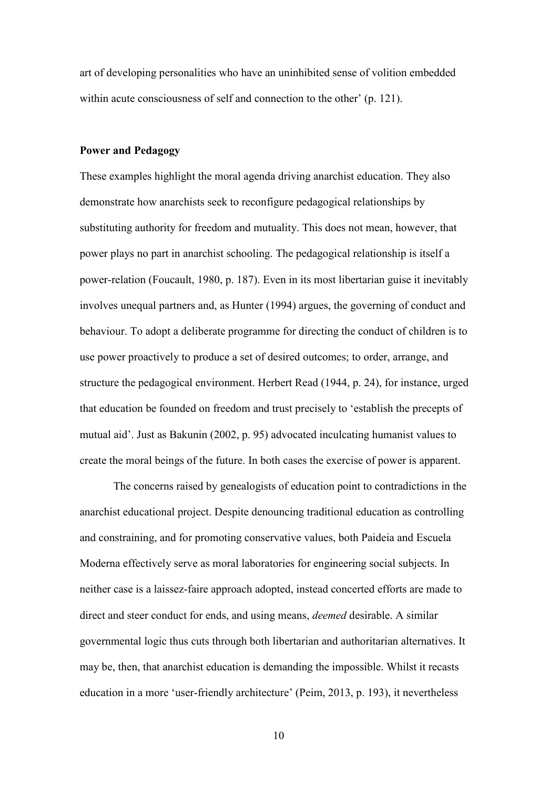art of developing personalities who have an uninhibited sense of volition embedded within acute consciousness of self and connection to the other' (p. 121).

## **Power and Pedagogy**

These examples highlight the moral agenda driving anarchist education. They also demonstrate how anarchists seek to reconfigure pedagogical relationships by substituting authority for freedom and mutuality. This does not mean, however, that power plays no part in anarchist schooling. The pedagogical relationship is itself a power-relation (Foucault, 1980, p. 187). Even in its most libertarian guise it inevitably involves unequal partners and, as Hunter (1994) argues, the governing of conduct and behaviour. To adopt a deliberate programme for directing the conduct of children is to use power proactively to produce a set of desired outcomes; to order, arrange, and structure the pedagogical environment. Herbert Read (1944, p. 24), for instance, urged that education be founded on freedom and trust precisely to 'establish the precepts of mutual aid'. Just as Bakunin (2002, p. 95) advocated inculcating humanist values to create the moral beings of the future. In both cases the exercise of power is apparent.

The concerns raised by genealogists of education point to contradictions in the anarchist educational project. Despite denouncing traditional education as controlling and constraining, and for promoting conservative values, both Paideia and Escuela Moderna effectively serve as moral laboratories for engineering social subjects. In neither case is a laissez-faire approach adopted, instead concerted efforts are made to direct and steer conduct for ends, and using means, *deemed* desirable. A similar governmental logic thus cuts through both libertarian and authoritarian alternatives. It may be, then, that anarchist education is demanding the impossible. Whilst it recasts education in a more 'user-friendly architecture' (Peim, 2013, p. 193), it nevertheless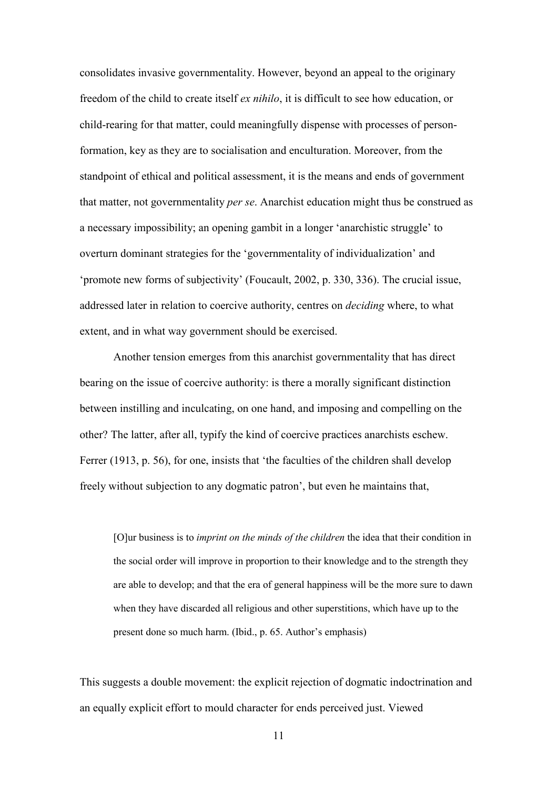consolidates invasive governmentality. However, beyond an appeal to the originary freedom of the child to create itself *ex nihilo*, it is difficult to see how education, or child-rearing for that matter, could meaningfully dispense with processes of personformation, key as they are to socialisation and enculturation. Moreover, from the standpoint of ethical and political assessment, it is the means and ends of government that matter, not governmentality *per se*. Anarchist education might thus be construed as a necessary impossibility; an opening gambit in a longer 'anarchistic struggle' to overturn dominant strategies for the 'governmentality of individualization' and 'promote new forms of subjectivity' (Foucault, 2002, p. 330, 336). The crucial issue, addressed later in relation to coercive authority, centres on *deciding* where, to what extent, and in what way government should be exercised.

Another tension emerges from this anarchist governmentality that has direct bearing on the issue of coercive authority: is there a morally significant distinction between instilling and inculcating, on one hand, and imposing and compelling on the other? The latter, after all, typify the kind of coercive practices anarchists eschew. Ferrer (1913, p. 56), for one, insists that 'the faculties of the children shall develop freely without subjection to any dogmatic patron', but even he maintains that,

[O]ur business is to *imprint on the minds of the children* the idea that their condition in the social order will improve in proportion to their knowledge and to the strength they are able to develop; and that the era of general happiness will be the more sure to dawn when they have discarded all religious and other superstitions, which have up to the present done so much harm. (Ibid., p. 65. Author's emphasis)

This suggests a double movement: the explicit rejection of dogmatic indoctrination and an equally explicit effort to mould character for ends perceived just. Viewed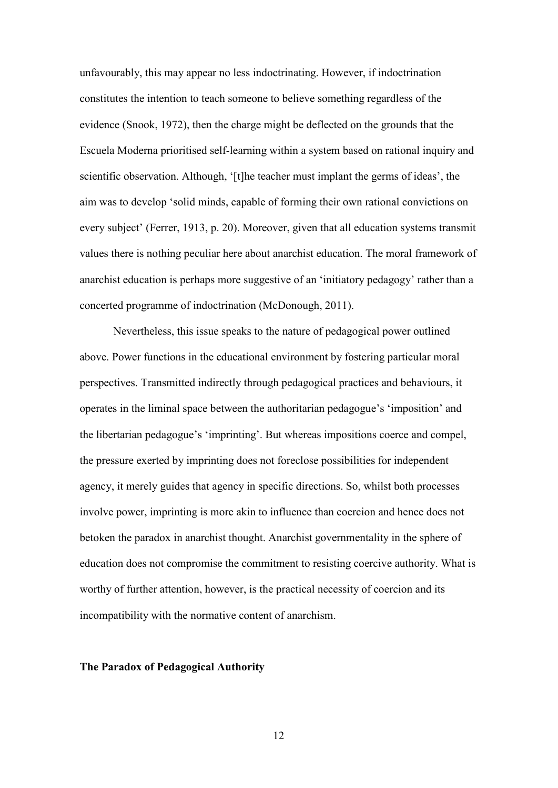unfavourably, this may appear no less indoctrinating. However, if indoctrination constitutes the intention to teach someone to believe something regardless of the evidence (Snook, 1972), then the charge might be deflected on the grounds that the Escuela Moderna prioritised self-learning within a system based on rational inquiry and scientific observation. Although, '[t]he teacher must implant the germs of ideas', the aim was to develop 'solid minds, capable of forming their own rational convictions on every subject' (Ferrer, 1913, p. 20). Moreover, given that all education systems transmit values there is nothing peculiar here about anarchist education. The moral framework of anarchist education is perhaps more suggestive of an 'initiatory pedagogy' rather than a concerted programme of indoctrination (McDonough, 2011).

Nevertheless, this issue speaks to the nature of pedagogical power outlined above. Power functions in the educational environment by fostering particular moral perspectives. Transmitted indirectly through pedagogical practices and behaviours, it operates in the liminal space between the authoritarian pedagogue's 'imposition' and the libertarian pedagogue's 'imprinting'. But whereas impositions coerce and compel, the pressure exerted by imprinting does not foreclose possibilities for independent agency, it merely guides that agency in specific directions. So, whilst both processes involve power, imprinting is more akin to influence than coercion and hence does not betoken the paradox in anarchist thought. Anarchist governmentality in the sphere of education does not compromise the commitment to resisting coercive authority. What is worthy of further attention, however, is the practical necessity of coercion and its incompatibility with the normative content of anarchism.

## **The Paradox of Pedagogical Authority**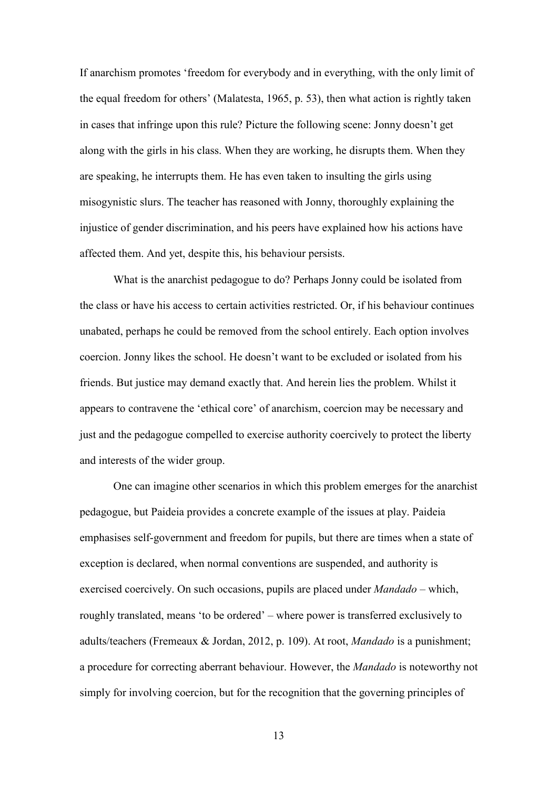If anarchism promotes 'freedom for everybody and in everything, with the only limit of the equal freedom for others' (Malatesta, 1965, p. 53), then what action is rightly taken in cases that infringe upon this rule? Picture the following scene: Jonny doesn't get along with the girls in his class. When they are working, he disrupts them. When they are speaking, he interrupts them. He has even taken to insulting the girls using misogynistic slurs. The teacher has reasoned with Jonny, thoroughly explaining the injustice of gender discrimination, and his peers have explained how his actions have affected them. And yet, despite this, his behaviour persists.

What is the anarchist pedagogue to do? Perhaps Jonny could be isolated from the class or have his access to certain activities restricted. Or, if his behaviour continues unabated, perhaps he could be removed from the school entirely. Each option involves coercion. Jonny likes the school. He doesn't want to be excluded or isolated from his friends. But justice may demand exactly that. And herein lies the problem. Whilst it appears to contravene the 'ethical core' of anarchism, coercion may be necessary and just and the pedagogue compelled to exercise authority coercively to protect the liberty and interests of the wider group.

One can imagine other scenarios in which this problem emerges for the anarchist pedagogue, but Paideia provides a concrete example of the issues at play. Paideia emphasises self-government and freedom for pupils, but there are times when a state of exception is declared, when normal conventions are suspended, and authority is exercised coercively. On such occasions, pupils are placed under *Mandado* – which, roughly translated, means 'to be ordered' – where power is transferred exclusively to adults/teachers (Fremeaux & Jordan, 2012, p. 109). At root, *Mandado* is a punishment; a procedure for correcting aberrant behaviour. However, the *Mandado* is noteworthy not simply for involving coercion, but for the recognition that the governing principles of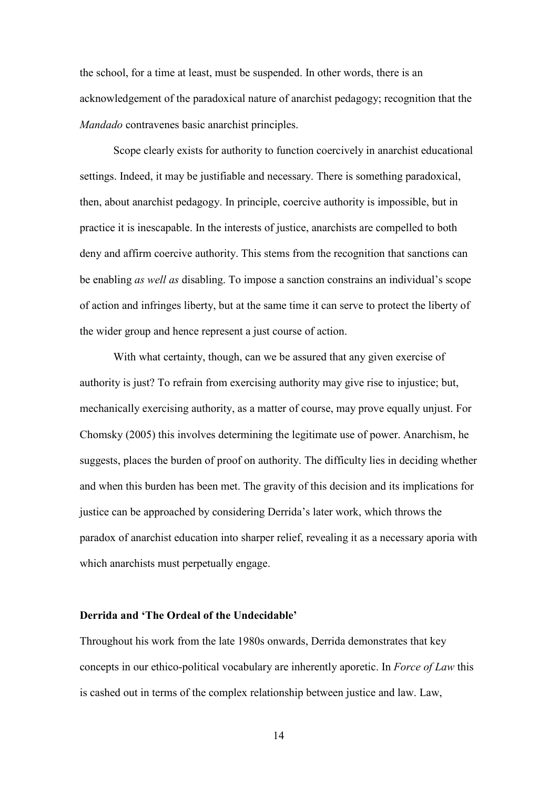the school, for a time at least, must be suspended. In other words, there is an acknowledgement of the paradoxical nature of anarchist pedagogy; recognition that the *Mandado* contravenes basic anarchist principles.

Scope clearly exists for authority to function coercively in anarchist educational settings. Indeed, it may be justifiable and necessary. There is something paradoxical, then, about anarchist pedagogy. In principle, coercive authority is impossible, but in practice it is inescapable. In the interests of justice, anarchists are compelled to both deny and affirm coercive authority. This stems from the recognition that sanctions can be enabling *as well as* disabling. To impose a sanction constrains an individual's scope of action and infringes liberty, but at the same time it can serve to protect the liberty of the wider group and hence represent a just course of action.

With what certainty, though, can we be assured that any given exercise of authority is just? To refrain from exercising authority may give rise to injustice; but, mechanically exercising authority, as a matter of course, may prove equally unjust. For Chomsky (2005) this involves determining the legitimate use of power. Anarchism, he suggests, places the burden of proof on authority. The difficulty lies in deciding whether and when this burden has been met. The gravity of this decision and its implications for justice can be approached by considering Derrida's later work, which throws the paradox of anarchist education into sharper relief, revealing it as a necessary aporia with which anarchists must perpetually engage.

## **Derrida and 'The Ordeal of the Undecidable'**

Throughout his work from the late 1980s onwards, Derrida demonstrates that key concepts in our ethico-political vocabulary are inherently aporetic. In *Force of Law* this is cashed out in terms of the complex relationship between justice and law. Law,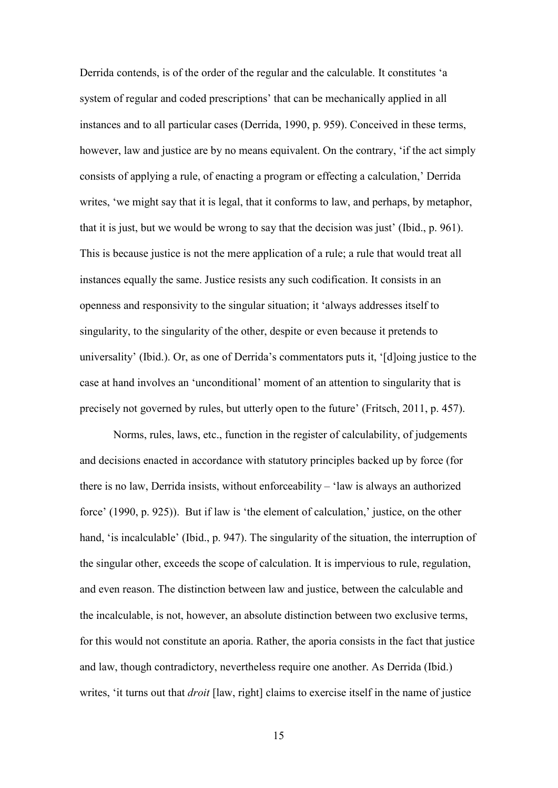Derrida contends, is of the order of the regular and the calculable. It constitutes 'a system of regular and coded prescriptions' that can be mechanically applied in all instances and to all particular cases (Derrida, 1990, p. 959). Conceived in these terms, however, law and justice are by no means equivalent. On the contrary, 'if the act simply consists of applying a rule, of enacting a program or effecting a calculation,' Derrida writes, 'we might say that it is legal, that it conforms to law, and perhaps, by metaphor, that it is just, but we would be wrong to say that the decision was just' (Ibid., p. 961). This is because justice is not the mere application of a rule; a rule that would treat all instances equally the same. Justice resists any such codification. It consists in an openness and responsivity to the singular situation; it 'always addresses itself to singularity, to the singularity of the other, despite or even because it pretends to universality' (Ibid.). Or, as one of Derrida's commentators puts it, '[d]oing justice to the case at hand involves an 'unconditional' moment of an attention to singularity that is precisely not governed by rules, but utterly open to the future' (Fritsch, 2011, p. 457).

Norms, rules, laws, etc., function in the register of calculability, of judgements and decisions enacted in accordance with statutory principles backed up by force (for there is no law, Derrida insists, without enforceability – 'law is always an authorized force' (1990, p. 925)). But if law is 'the element of calculation,' justice, on the other hand, 'is incalculable' (Ibid., p. 947). The singularity of the situation, the interruption of the singular other, exceeds the scope of calculation. It is impervious to rule, regulation, and even reason. The distinction between law and justice, between the calculable and the incalculable, is not, however, an absolute distinction between two exclusive terms, for this would not constitute an aporia. Rather, the aporia consists in the fact that justice and law, though contradictory, nevertheless require one another. As Derrida (Ibid.) writes, 'it turns out that *droit* [law, right] claims to exercise itself in the name of justice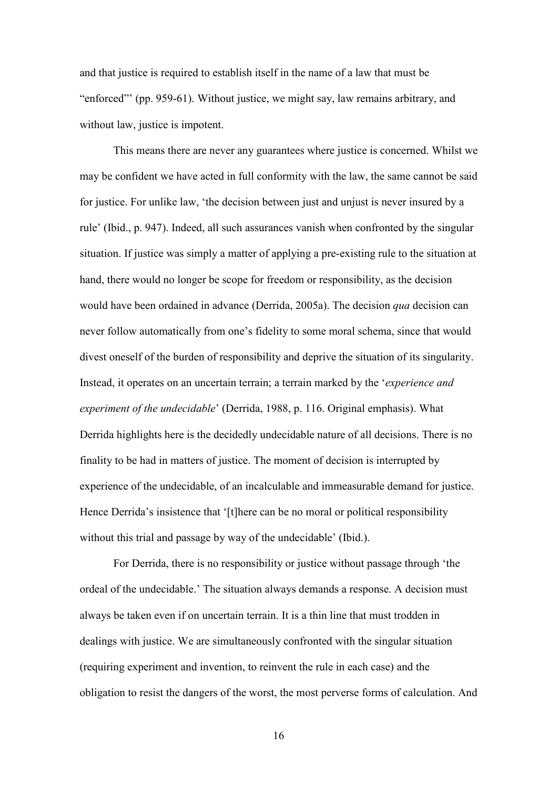and that justice is required to establish itself in the name of a law that must be "enforced"' (pp. 959-61). Without justice, we might say, law remains arbitrary, and without law, justice is impotent.

This means there are never any guarantees where justice is concerned. Whilst we may be confident we have acted in full conformity with the law, the same cannot be said for justice. For unlike law, 'the decision between just and unjust is never insured by a rule' (Ibid., p. 947). Indeed, all such assurances vanish when confronted by the singular situation. If justice was simply a matter of applying a pre-existing rule to the situation at hand, there would no longer be scope for freedom or responsibility, as the decision would have been ordained in advance (Derrida, 2005a). The decision *qua* decision can never follow automatically from one's fidelity to some moral schema, since that would divest oneself of the burden of responsibility and deprive the situation of its singularity. Instead, it operates on an uncertain terrain; a terrain marked by the '*experience and experiment of the undecidable*' (Derrida, 1988, p. 116. Original emphasis). What Derrida highlights here is the decidedly undecidable nature of all decisions. There is no finality to be had in matters of justice. The moment of decision is interrupted by experience of the undecidable, of an incalculable and immeasurable demand for justice. Hence Derrida's insistence that '[t]here can be no moral or political responsibility without this trial and passage by way of the undecidable' (Ibid.).

For Derrida, there is no responsibility or justice without passage through 'the ordeal of the undecidable.' The situation always demands a response. A decision must always be taken even if on uncertain terrain. It is a thin line that must trodden in dealings with justice. We are simultaneously confronted with the singular situation (requiring experiment and invention, to reinvent the rule in each case) and the obligation to resist the dangers of the worst, the most perverse forms of calculation. And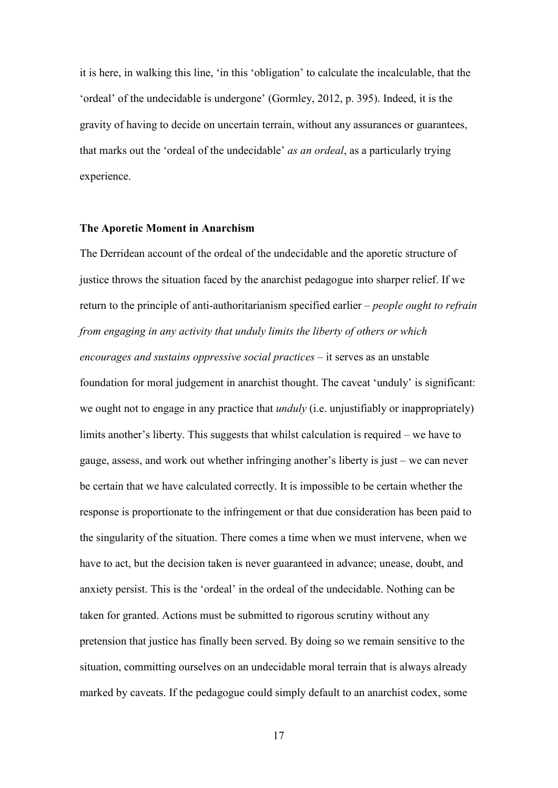it is here, in walking this line, 'in this 'obligation' to calculate the incalculable, that the 'ordeal' of the undecidable is undergone' (Gormley, 2012, p. 395). Indeed, it is the gravity of having to decide on uncertain terrain, without any assurances or guarantees, that marks out the 'ordeal of the undecidable' *as an ordeal*, as a particularly trying experience.

#### **The Aporetic Moment in Anarchism**

The Derridean account of the ordeal of the undecidable and the aporetic structure of justice throws the situation faced by the anarchist pedagogue into sharper relief. If we return to the principle of anti-authoritarianism specified earlier – *people ought to refrain from engaging in any activity that unduly limits the liberty of others or which encourages and sustains oppressive social practices* – it serves as an unstable foundation for moral judgement in anarchist thought. The caveat 'unduly' is significant: we ought not to engage in any practice that *unduly* (i.e. unjustifiably or inappropriately) limits another's liberty. This suggests that whilst calculation is required – we have to gauge, assess, and work out whether infringing another's liberty is just – we can never be certain that we have calculated correctly. It is impossible to be certain whether the response is proportionate to the infringement or that due consideration has been paid to the singularity of the situation. There comes a time when we must intervene, when we have to act, but the decision taken is never guaranteed in advance; unease, doubt, and anxiety persist. This is the 'ordeal' in the ordeal of the undecidable. Nothing can be taken for granted. Actions must be submitted to rigorous scrutiny without any pretension that justice has finally been served. By doing so we remain sensitive to the situation, committing ourselves on an undecidable moral terrain that is always already marked by caveats. If the pedagogue could simply default to an anarchist codex, some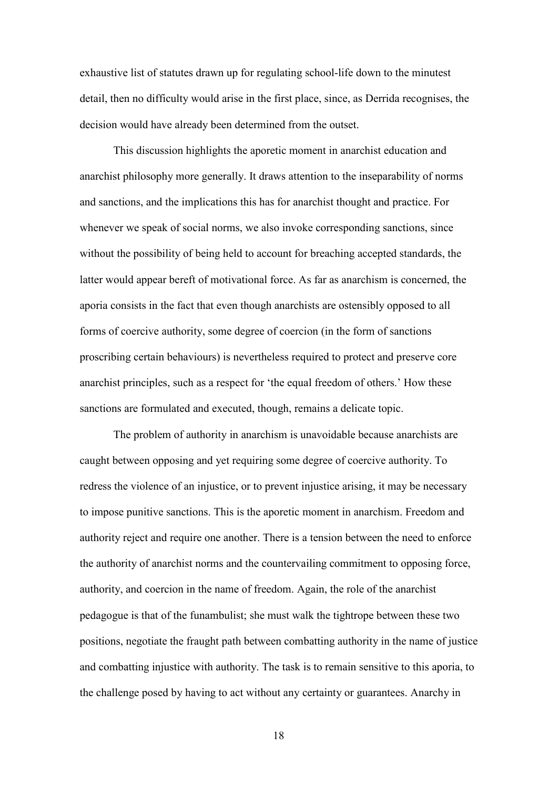exhaustive list of statutes drawn up for regulating school-life down to the minutest detail, then no difficulty would arise in the first place, since, as Derrida recognises, the decision would have already been determined from the outset.

This discussion highlights the aporetic moment in anarchist education and anarchist philosophy more generally. It draws attention to the inseparability of norms and sanctions, and the implications this has for anarchist thought and practice. For whenever we speak of social norms, we also invoke corresponding sanctions, since without the possibility of being held to account for breaching accepted standards, the latter would appear bereft of motivational force. As far as anarchism is concerned, the aporia consists in the fact that even though anarchists are ostensibly opposed to all forms of coercive authority, some degree of coercion (in the form of sanctions proscribing certain behaviours) is nevertheless required to protect and preserve core anarchist principles, such as a respect for 'the equal freedom of others.' How these sanctions are formulated and executed, though, remains a delicate topic.

The problem of authority in anarchism is unavoidable because anarchists are caught between opposing and yet requiring some degree of coercive authority. To redress the violence of an injustice, or to prevent injustice arising, it may be necessary to impose punitive sanctions. This is the aporetic moment in anarchism. Freedom and authority reject and require one another. There is a tension between the need to enforce the authority of anarchist norms and the countervailing commitment to opposing force, authority, and coercion in the name of freedom. Again, the role of the anarchist pedagogue is that of the funambulist; she must walk the tightrope between these two positions, negotiate the fraught path between combatting authority in the name of justice and combatting injustice with authority. The task is to remain sensitive to this aporia, to the challenge posed by having to act without any certainty or guarantees. Anarchy in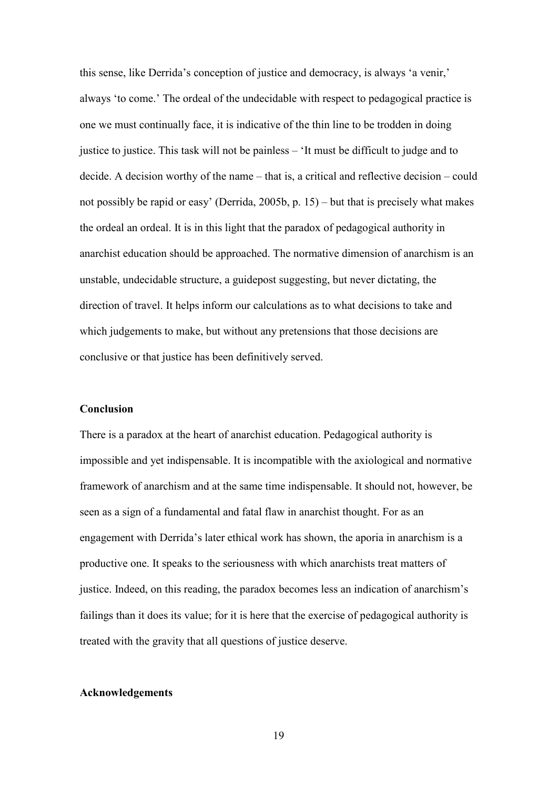this sense, like Derrida's conception of justice and democracy, is always 'a venir,' always 'to come.' The ordeal of the undecidable with respect to pedagogical practice is one we must continually face, it is indicative of the thin line to be trodden in doing justice to justice. This task will not be painless – 'It must be difficult to judge and to decide. A decision worthy of the name – that is, a critical and reflective decision – could not possibly be rapid or easy' (Derrida, 2005b, p. 15) – but that is precisely what makes the ordeal an ordeal. It is in this light that the paradox of pedagogical authority in anarchist education should be approached. The normative dimension of anarchism is an unstable, undecidable structure, a guidepost suggesting, but never dictating, the direction of travel. It helps inform our calculations as to what decisions to take and which judgements to make, but without any pretensions that those decisions are conclusive or that justice has been definitively served.

## **Conclusion**

There is a paradox at the heart of anarchist education. Pedagogical authority is impossible and yet indispensable. It is incompatible with the axiological and normative framework of anarchism and at the same time indispensable. It should not, however, be seen as a sign of a fundamental and fatal flaw in anarchist thought. For as an engagement with Derrida's later ethical work has shown, the aporia in anarchism is a productive one. It speaks to the seriousness with which anarchists treat matters of justice. Indeed, on this reading, the paradox becomes less an indication of anarchism's failings than it does its value; for it is here that the exercise of pedagogical authority is treated with the gravity that all questions of justice deserve.

#### **Acknowledgements**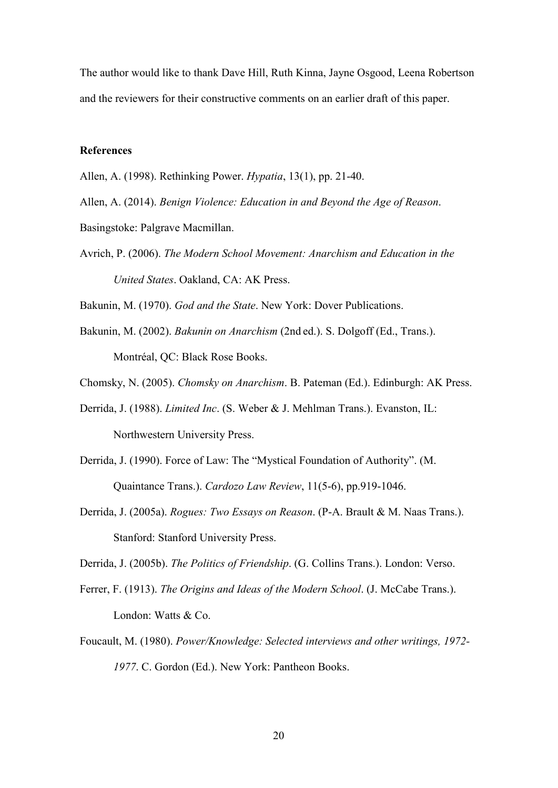The author would like to thank Dave Hill, Ruth Kinna, Jayne Osgood, Leena Robertson and the reviewers for their constructive comments on an earlier draft of this paper.

# **References**

Allen, A. (1998). Rethinking Power. *Hypatia*, 13(1), pp. 21-40.

Allen, A. (2014). *Benign Violence: Education in and Beyond the Age of Reason*.

Basingstoke: Palgrave Macmillan.

Avrich, P. (2006). *The Modern School Movement: Anarchism and Education in the United States*. Oakland, CA: AK Press.

Bakunin, M. (1970). *God and the State*. New York: Dover Publications.

Bakunin, M. (2002). *Bakunin on Anarchism* (2nd ed.). S. Dolgoff (Ed., Trans.). Montréal, QC: Black Rose Books.

Chomsky, N. (2005). *Chomsky on Anarchism*. B. Pateman (Ed.). Edinburgh: AK Press.

- Derrida, J. (1988). *Limited Inc*. (S. Weber & J. Mehlman Trans.). Evanston, IL: Northwestern University Press.
- Derrida, J. (1990). Force of Law: The "Mystical Foundation of Authority". (M. Quaintance Trans.). *Cardozo Law Review*, 11(5-6), pp.919-1046.
- Derrida, J. (2005a). *Rogues: Two Essays on Reason*. (P-A. Brault & M. Naas Trans.). Stanford: Stanford University Press.

Derrida, J. (2005b). *The Politics of Friendship*. (G. Collins Trans.). London: Verso.

- Ferrer, F. (1913). *The Origins and Ideas of the Modern School*. (J. McCabe Trans.). London: Watts & Co.
- Foucault, M. (1980). *Power/Knowledge: Selected interviews and other writings, 1972- 1977*. C. Gordon (Ed.). New York: Pantheon Books.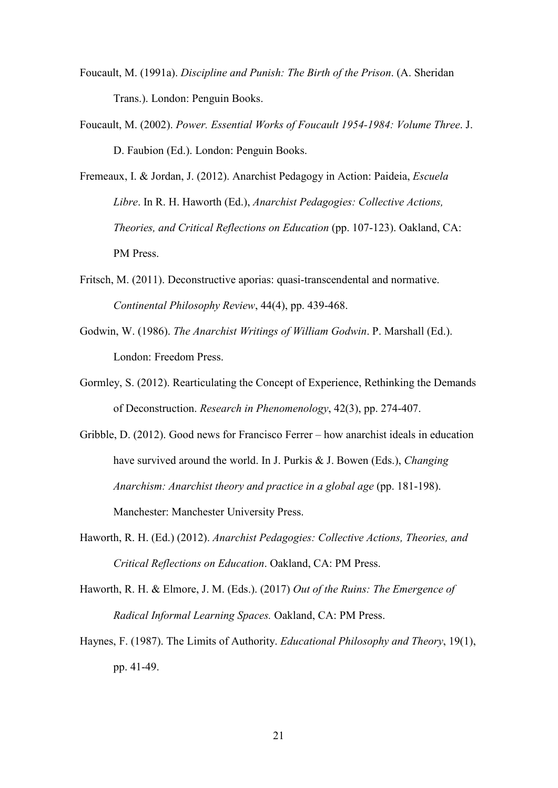- Foucault, M. (1991a). *Discipline and Punish: The Birth of the Prison*. (A. Sheridan Trans.). London: Penguin Books.
- Foucault, M. (2002). *Power. Essential Works of Foucault 1954-1984: Volume Three*. J. D. Faubion (Ed.). London: Penguin Books.
- Fremeaux, I. & Jordan, J. (2012). Anarchist Pedagogy in Action: Paideia, *Escuela Libre*. In R. H. Haworth (Ed.), *Anarchist Pedagogies: Collective Actions, Theories, and Critical Reflections on Education* (pp. 107-123). Oakland, CA: PM Press.
- Fritsch, M. (2011). Deconstructive aporias: quasi-transcendental and normative. *Continental Philosophy Review*, 44(4), pp. 439-468.
- Godwin, W. (1986). *The Anarchist Writings of William Godwin*. P. Marshall (Ed.). London: Freedom Press.
- Gormley, S. (2012). Rearticulating the Concept of Experience, Rethinking the Demands of Deconstruction. *Research in Phenomenology*, 42(3), pp. 274-407.
- Gribble, D. (2012). Good news for Francisco Ferrer how anarchist ideals in education have survived around the world. In J. Purkis & J. Bowen (Eds.), *Changing Anarchism: Anarchist theory and practice in a global age* (pp. 181-198). Manchester: Manchester University Press.
- Haworth, R. H. (Ed.) (2012). *Anarchist Pedagogies: Collective Actions, Theories, and Critical Reflections on Education*. Oakland, CA: PM Press.
- Haworth, R. H. & Elmore, J. M. (Eds.). (2017) *Out of the Ruins: The Emergence of Radical Informal Learning Spaces.* Oakland, CA: PM Press.
- Haynes, F. (1987). The Limits of Authority. *Educational Philosophy and Theory*, 19(1), pp. 41-49.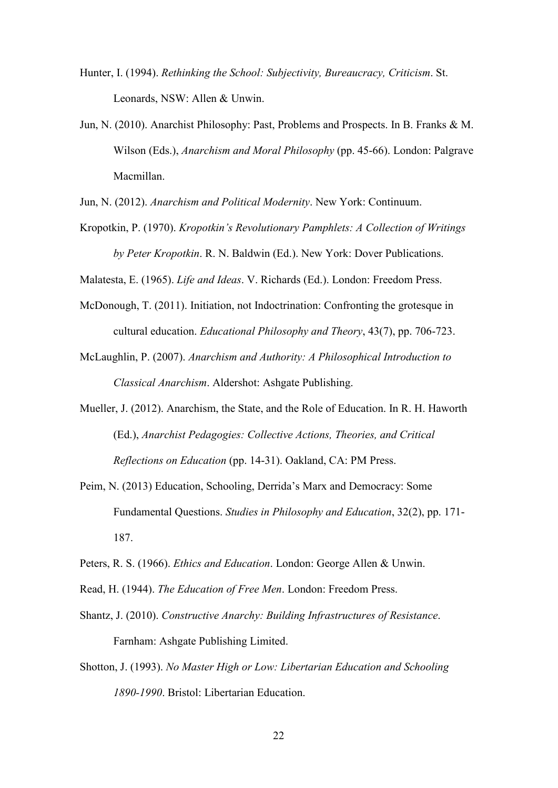- Hunter, I. (1994). *Rethinking the School: Subjectivity, Bureaucracy, Criticism*. St. Leonards, NSW: Allen & Unwin.
- Jun, N. (2010). Anarchist Philosophy: Past, Problems and Prospects. In B. Franks & M. Wilson (Eds.), *Anarchism and Moral Philosophy* (pp. 45-66). London: Palgrave Macmillan.
- Jun, N. (2012). *Anarchism and Political Modernity*. New York: Continuum.
- Kropotkin, P. (1970). *Kropotkin's Revolutionary Pamphlets: A Collection of Writings by Peter Kropotkin*. R. N. Baldwin (Ed.). New York: Dover Publications.

Malatesta, E. (1965). *Life and Ideas*. V. Richards (Ed.). London: Freedom Press.

- McDonough, T. (2011). Initiation, not Indoctrination: Confronting the grotesque in cultural education. *Educational Philosophy and Theory*, 43(7), pp. 706-723.
- McLaughlin, P. (2007). *Anarchism and Authority: A Philosophical Introduction to Classical Anarchism*. Aldershot: Ashgate Publishing.
- Mueller, J. (2012). Anarchism, the State, and the Role of Education. In R. H. Haworth (Ed.), *Anarchist Pedagogies: Collective Actions, Theories, and Critical Reflections on Education* (pp. 14-31). Oakland, CA: PM Press.
- Peim, N. (2013) Education, Schooling, Derrida's Marx and Democracy: Some Fundamental Questions. *Studies in Philosophy and Education*, 32(2), pp. 171- 187.
- Peters, R. S. (1966). *Ethics and Education*. London: George Allen & Unwin.
- Read, H. (1944). *The Education of Free Men*. London: Freedom Press.
- Shantz, J. (2010). *Constructive Anarchy: Building Infrastructures of Resistance*. Farnham: Ashgate Publishing Limited.
- Shotton, J. (1993). *No Master High or Low: Libertarian Education and Schooling 1890-1990*. Bristol: Libertarian Education.